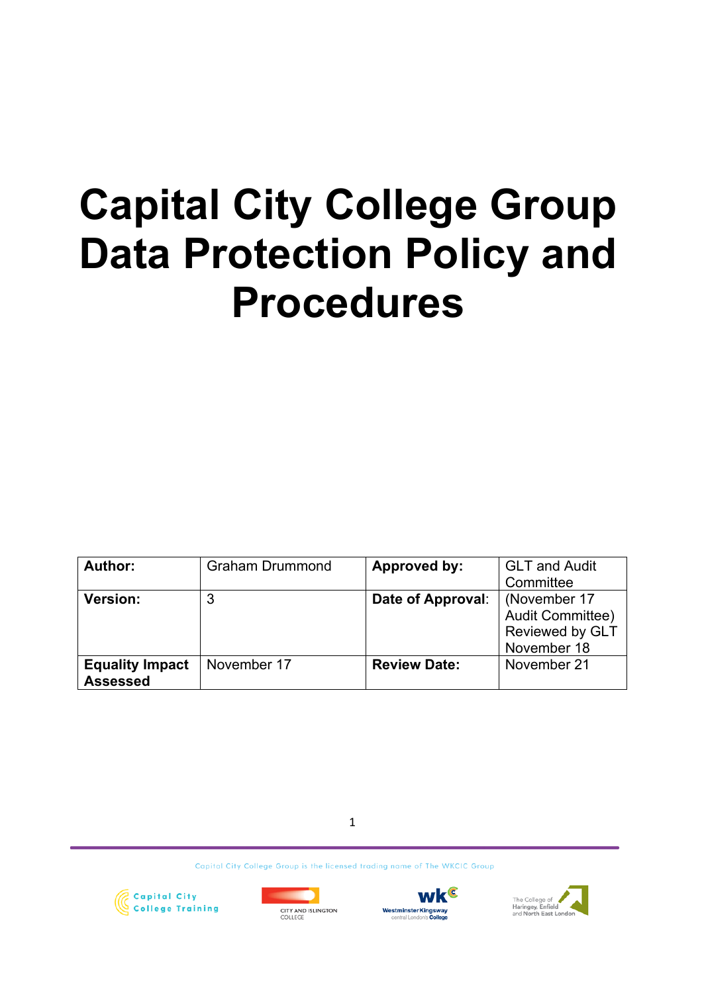# **Capital City College Group Data Protection Policy and Procedures**

| Author:                | <b>Graham Drummond</b> | <b>Approved by:</b> | <b>GLT and Audit</b>   |
|------------------------|------------------------|---------------------|------------------------|
|                        |                        |                     | Committee              |
| <b>Version:</b>        | 3                      | Date of Approval:   | (November 17           |
|                        |                        |                     | Audit Committee)       |
|                        |                        |                     | <b>Reviewed by GLT</b> |
|                        |                        |                     | November 18            |
| <b>Equality Impact</b> | November 17            | <b>Review Date:</b> | November 21            |
| <b>Assessed</b>        |                        |                     |                        |

1







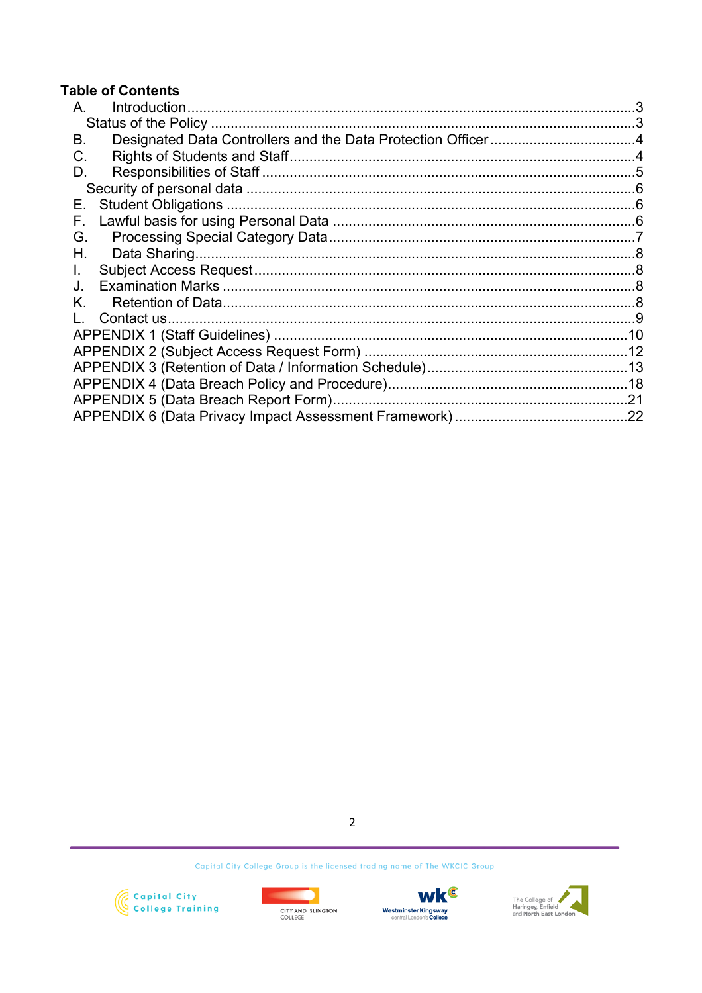## **Table of Contents**

| А.  |  |
|-----|--|
|     |  |
| В.  |  |
| C.  |  |
| D.  |  |
|     |  |
| Е., |  |
| F.  |  |
| G.  |  |
| Η.  |  |
| L.  |  |
| J.  |  |
| Κ.  |  |
|     |  |
|     |  |
|     |  |
|     |  |
|     |  |
|     |  |
|     |  |
|     |  |

 $\overline{2}$ 







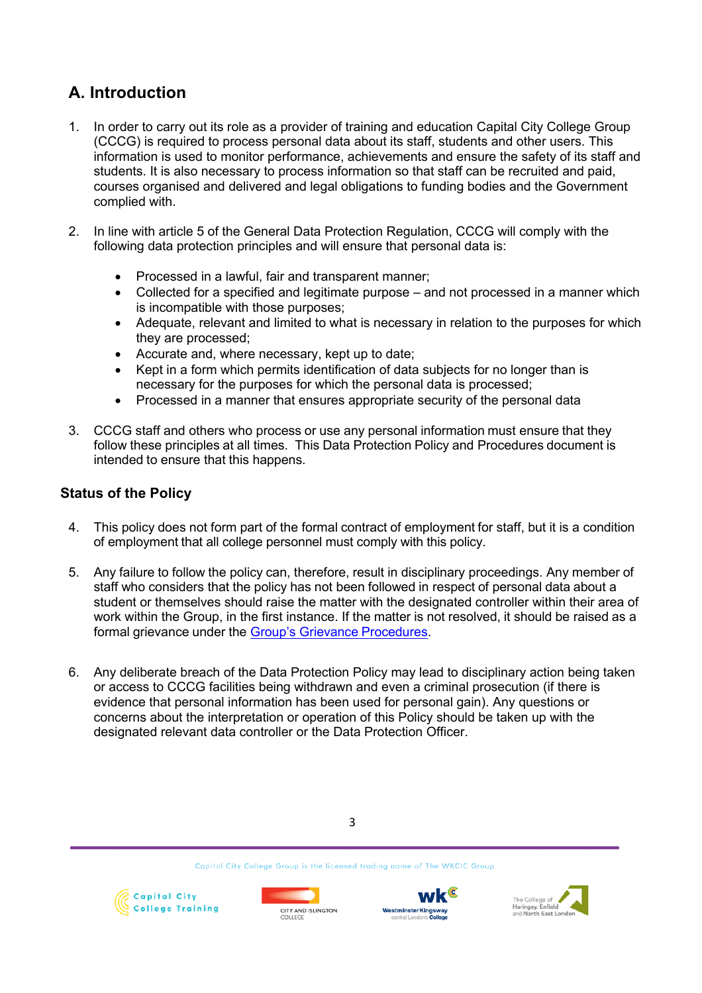# **A. Introduction**

- 1. In order to carry out its role as a provider of training and education Capital City College Group (CCCG) is required to process personal data about its staff, students and other users. This information is used to monitor performance, achievements and ensure the safety of its staff and students. It is also necessary to process information so that staff can be recruited and paid, courses organised and delivered and legal obligations to funding bodies and the Government complied with.
- 2. In line with article 5 of the General Data Protection Regulation, CCCG will comply with the following data protection principles and will ensure that personal data is:
	- Processed in a lawful, fair and transparent manner;
	- Collected for a specified and legitimate purpose and not processed in a manner which is incompatible with those purposes;
	- Adequate, relevant and limited to what is necessary in relation to the purposes for which they are processed;
	- Accurate and, where necessary, kept up to date;
	- Kept in a form which permits identification of data subjects for no longer than is necessary for the purposes for which the personal data is processed;
	- Processed in a manner that ensures appropriate security of the personal data
- 3. CCCG staff and others who process or use any personal information must ensure that they follow these principles at all times. This Data Protection Policy and Procedures document is intended to ensure that this happens.

## **Status of the Policy**

- 4. This policy does not form part of the formal contract of employment for staff, but it is a condition of employment that all college personnel must comply with this policy.
- 5. Any failure to follow the policy can, therefore, result in disciplinary proceedings. Any member of staff who considers that the policy has not been followed in respect of personal data about a student or themselves should raise the matter with the designated controller within their area of work within the Group, in the first instance. If the matter is not resolved, it should be raised as a formal grievance under the Group's Grievance Procedures.
- 6. Any deliberate breach of the Data Protection Policy may lead to disciplinary action being taken or access to CCCG facilities being withdrawn and even a criminal prosecution (if there is evidence that personal information has been used for personal gain). Any questions or concerns about the interpretation or operation of this Policy should be taken up with the designated relevant data controller or the Data Protection Officer.









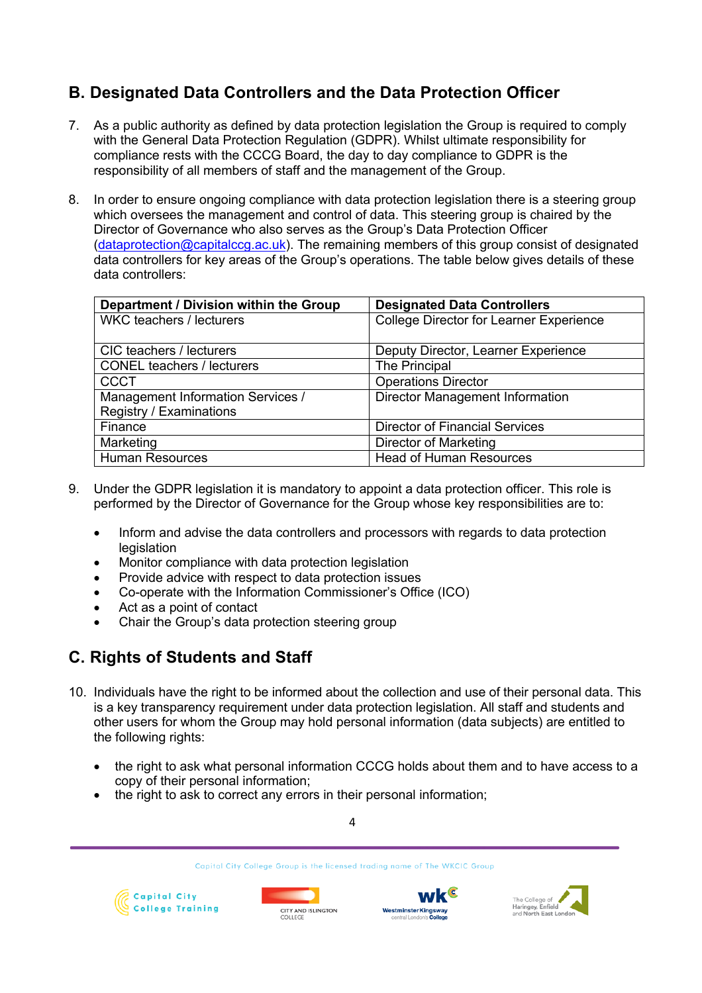# **B. Designated Data Controllers and the Data Protection Officer**

- 7. As a public authority as defined by data protection legislation the Group is required to comply with the General Data Protection Regulation (GDPR). Whilst ultimate responsibility for compliance rests with the CCCG Board, the day to day compliance to GDPR is the responsibility of all members of staff and the management of the Group.
- 8. In order to ensure ongoing compliance with data protection legislation there is a steering group which oversees the management and control of data. This steering group is chaired by the Director of Governance who also serves as the Group's Data Protection Officer (dataprotection@capitalccg.ac.uk). The remaining members of this group consist of designated data controllers for key areas of the Group's operations. The table below gives details of these data controllers:

| Department / Division within the Group | <b>Designated Data Controllers</b>      |
|----------------------------------------|-----------------------------------------|
| <b>WKC teachers / lecturers</b>        | College Director for Learner Experience |
|                                        |                                         |
| CIC teachers / lecturers               | Deputy Director, Learner Experience     |
| <b>CONEL teachers / lecturers</b>      | The Principal                           |
| <b>CCCT</b>                            | <b>Operations Director</b>              |
| Management Information Services /      | <b>Director Management Information</b>  |
| Registry / Examinations                |                                         |
| Finance                                | <b>Director of Financial Services</b>   |
| Marketing                              | Director of Marketing                   |
| <b>Human Resources</b>                 | <b>Head of Human Resources</b>          |

- 9. Under the GDPR legislation it is mandatory to appoint a data protection officer. This role is performed by the Director of Governance for the Group whose key responsibilities are to:
	- Inform and advise the data controllers and processors with regards to data protection **legislation**
	- Monitor compliance with data protection legislation
	- Provide advice with respect to data protection issues
	- Co-operate with the Information Commissioner's Office (ICO)
	- Act as a point of contact
	- Chair the Group's data protection steering group

# **C. Rights of Students and Staff**

- 10. Individuals have the right to be informed about the collection and use of their personal data. This is a key transparency requirement under data protection legislation. All staff and students and other users for whom the Group may hold personal information (data subjects) are entitled to the following rights:
	- the right to ask what personal information CCCG holds about them and to have access to a copy of their personal information;

4

Capital City College Group is the licensed trading name of The WKCIC Group

the right to ask to correct any errors in their personal information;







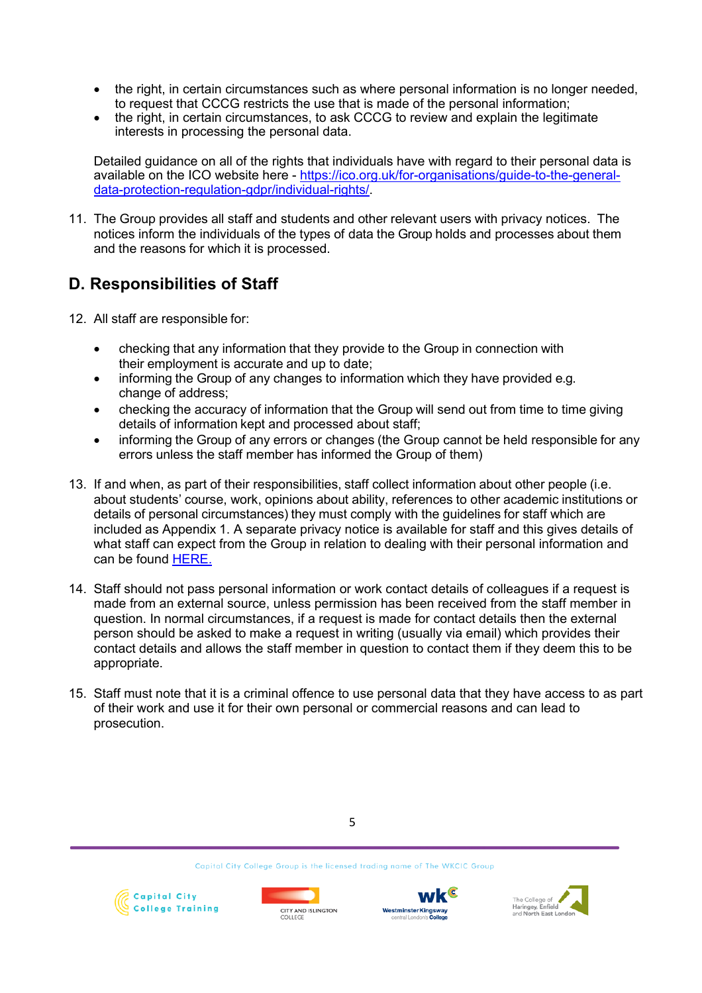- the right, in certain circumstances such as where personal information is no longer needed, to request that CCCG restricts the use that is made of the personal information;
- the right, in certain circumstances, to ask CCCG to review and explain the legitimate interests in processing the personal data.

Detailed guidance on all of the rights that individuals have with regard to their personal data is available on the ICO website here - https://ico.org.uk/for-organisations/guide-to-the-generaldata-protection-regulation-gdpr/individual-rights/.

11. The Group provides all staff and students and other relevant users with privacy notices. The notices inform the individuals of the types of data the Group holds and processes about them and the reasons for which it is processed.

# **D. Responsibilities of Staff**

- 12. All staff are responsible for:
	- checking that any information that they provide to the Group in connection with their employment is accurate and up to date;
	- informing the Group of any changes to information which they have provided e.g. change of address;
	- checking the accuracy of information that the Group will send out from time to time giving details of information kept and processed about staff;
	- informing the Group of any errors or changes (the Group cannot be held responsible for any errors unless the staff member has informed the Group of them)
- 13. If and when, as part of their responsibilities, staff collect information about other people (i.e. about students' course, work, opinions about ability, references to other academic institutions or details of personal circumstances) they must comply with the guidelines for staff which are included as Appendix 1. A separate privacy notice is available for staff and this gives details of what staff can expect from the Group in relation to dealing with their personal information and can be found HERE.
- 14. Staff should not pass personal information or work contact details of colleagues if a request is made from an external source, unless permission has been received from the staff member in question. In normal circumstances, if a request is made for contact details then the external person should be asked to make a request in writing (usually via email) which provides their contact details and allows the staff member in question to contact them if they deem this to be appropriate.
- 15. Staff must note that it is a criminal offence to use personal data that they have access to as part of their work and use it for their own personal or commercial reasons and can lead to prosecution.







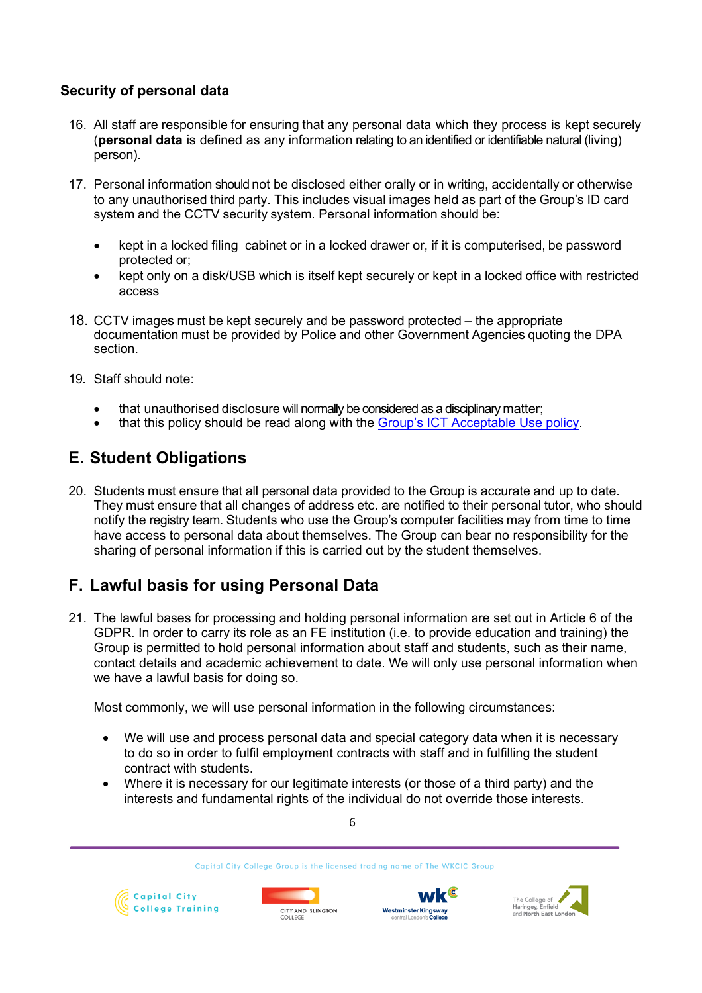## **Security of personal data**

- 16. All staff are responsible for ensuring that any personal data which they process is kept securely (**personal data** is defined as any information relating to an identified or identifiable natural (living) person).
- 17. Personal information should not be disclosed either orally or in writing, accidentally or otherwise to any unauthorised third party. This includes visual images held as part of the Group's ID card system and the CCTV security system. Personal information should be:
	- kept in a locked filing cabinet or in a locked drawer or, if it is computerised, be password protected or;
	- kept only on a disk/USB which is itself kept securely or kept in a locked office with restricted access
- 18. CCTV images must be kept securely and be password protected the appropriate documentation must be provided by Police and other Government Agencies quoting the DPA section.
- 19. Staff should note:
	- that unauthorised disclosure will normally be considered as a disciplinary matter;
	- that this policy should be read along with the Group's ICT Acceptable Use policy.

## **E. Student Obligations**

20. Students must ensure that all personal data provided to the Group is accurate and up to date. They must ensure that all changes of address etc. are notified to their personal tutor, who should notify the registry team. Students who use the Group's computer facilities may from time to time have access to personal data about themselves. The Group can bear no responsibility for the sharing of personal information if this is carried out by the student themselves.

# **F. Lawful basis for using Personal Data**

21. The lawful bases for processing and holding personal information are set out in Article 6 of the GDPR. In order to carry its role as an FE institution (i.e. to provide education and training) the Group is permitted to hold personal information about staff and students, such as their name, contact details and academic achievement to date. We will only use personal information when we have a lawful basis for doing so.

Most commonly, we will use personal information in the following circumstances:

- We will use and process personal data and special category data when it is necessary to do so in order to fulfil employment contracts with staff and in fulfilling the student contract with students.
- Where it is necessary for our legitimate interests (or those of a third party) and the interests and fundamental rights of the individual do not override those interests.

6







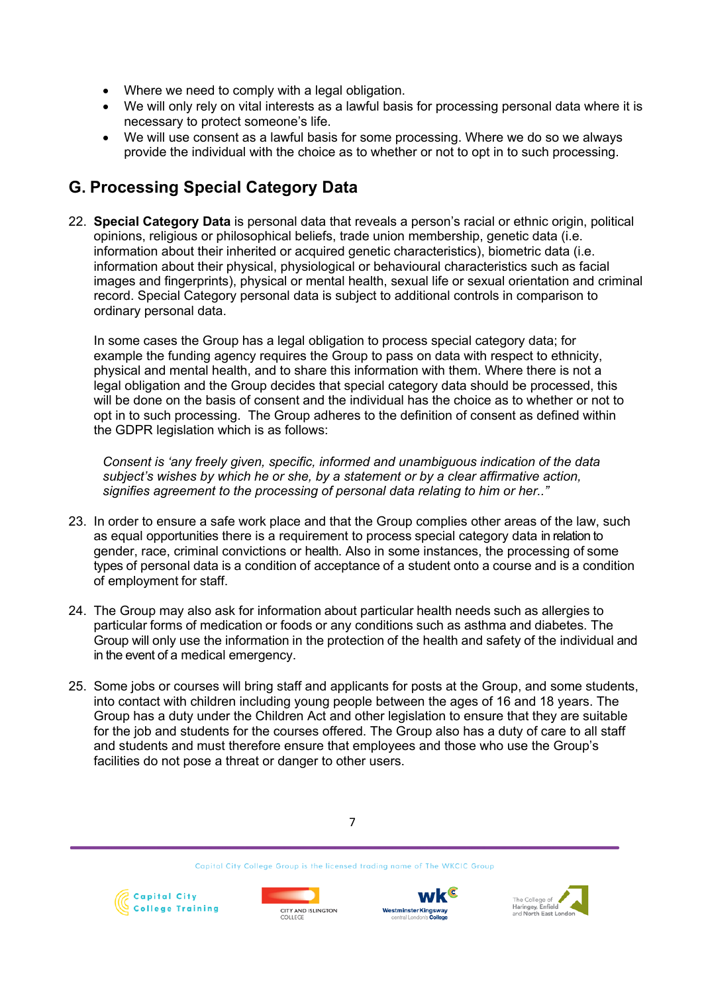- Where we need to comply with a legal obligation.
- We will only rely on vital interests as a lawful basis for processing personal data where it is necessary to protect someone's life.
- We will use consent as a lawful basis for some processing. Where we do so we always provide the individual with the choice as to whether or not to opt in to such processing.

# **G. Processing Special Category Data**

22. **Special Category Data** is personal data that reveals a person's racial or ethnic origin, political opinions, religious or philosophical beliefs, trade union membership, genetic data (i.e. information about their inherited or acquired genetic characteristics), biometric data (i.e. information about their physical, physiological or behavioural characteristics such as facial images and fingerprints), physical or mental health, sexual life or sexual orientation and criminal record. Special Category personal data is subject to additional controls in comparison to ordinary personal data.

In some cases the Group has a legal obligation to process special category data; for example the funding agency requires the Group to pass on data with respect to ethnicity, physical and mental health, and to share this information with them. Where there is not a legal obligation and the Group decides that special category data should be processed, this will be done on the basis of consent and the individual has the choice as to whether or not to opt in to such processing. The Group adheres to the definition of consent as defined within the GDPR legislation which is as follows:

*Consent is 'any freely given, specific, informed and unambiguous indication of the data subject's wishes by which he or she, by a statement or by a clear affirmative action, signifies agreement to the processing of personal data relating to him or her.."*

- 23. In order to ensure a safe work place and that the Group complies other areas of the law, such as equal opportunities there is a requirement to process special category data in relation to gender, race, criminal convictions or health. Also in some instances, the processing of some types of personal data is a condition of acceptance of a student onto a course and is a condition of employment for staff.
- 24. The Group may also ask for information about particular health needs such as allergies to particular forms of medication or foods or any conditions such as asthma and diabetes. The Group will only use the information in the protection of the health and safety of the individual and in the event of a medical emergency.
- 25. Some jobs or courses will bring staff and applicants for posts at the Group, and some students, into contact with children including young people between the ages of 16 and 18 years. The Group has a duty under the Children Act and other legislation to ensure that they are suitable for the job and students for the courses offered. The Group also has a duty of care to all staff and students and must therefore ensure that employees and those who use the Group's facilities do not pose a threat or danger to other users.









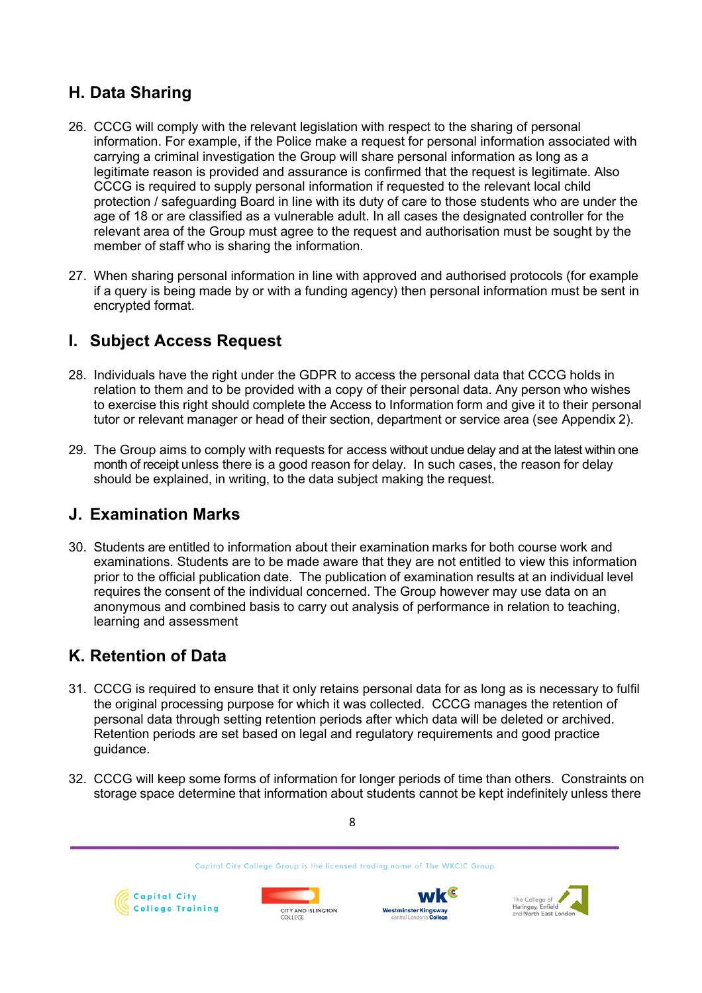# **H. Data Sharing**

- 26. CCCG will comply with the relevant legislation with respect to the sharing of personal information. For example, if the Police make a request for personal information associated with carrying a criminal investigation the Group will share personal information as long as a legitimate reason is provided and assurance is confirmed that the request is legitimate. Also CCCG is required to supply personal information if requested to the relevant local child protection / safeguarding Board in line with its duty of care to those students who are under the age of 18 or are classified as a vulnerable adult. In all cases the designated controller for the relevant area of the Group must agree to the request and authorisation must be sought by the member of staff who is sharing the information.
- 27. When sharing personal information in line with approved and authorised protocols (for example if a query is being made by or with a funding agency) then personal information must be sent in encrypted format.

# **I. Subject Access Request**

- 28. Individuals have the right under the GDPR to access the personal data that CCCG holds in relation to them and to be provided with a copy of their personal data. Any person who wishes to exercise this right should complete the Access to Information form and give it to their personal tutor or relevant manager or head of their section, department or service area (see Appendix 2).
- 29. The Group aims to comply with requests for access without undue delay and at the latest within one month of receipt unless there is a good reason for delay. In such cases, the reason for delay should be explained, in writing, to the data subject making the request.

## **J. Examination Marks**

30. Students are entitled to information about their examination marks for both course work and examinations. Students are to be made aware that they are not entitled to view this information prior to the official publication date. The publication of examination results at an individual level requires the consent of the individual concerned. The Group however may use data on an anonymous and combined basis to carry out analysis of performance in relation to teaching, learning and assessment

# **K. Retention of Data**

- 31. CCCG is required to ensure that it only retains personal data for as long as is necessary to fulfil the original processing purpose for which it was collected. CCCG manages the retention of personal data through setting retention periods after which data will be deleted or archived. Retention periods are set based on legal and regulatory requirements and good practice guidance.
- 32. CCCG will keep some forms of information for longer periods of time than others. Constraints on storage space determine that information about students cannot be kept indefinitely unless there



8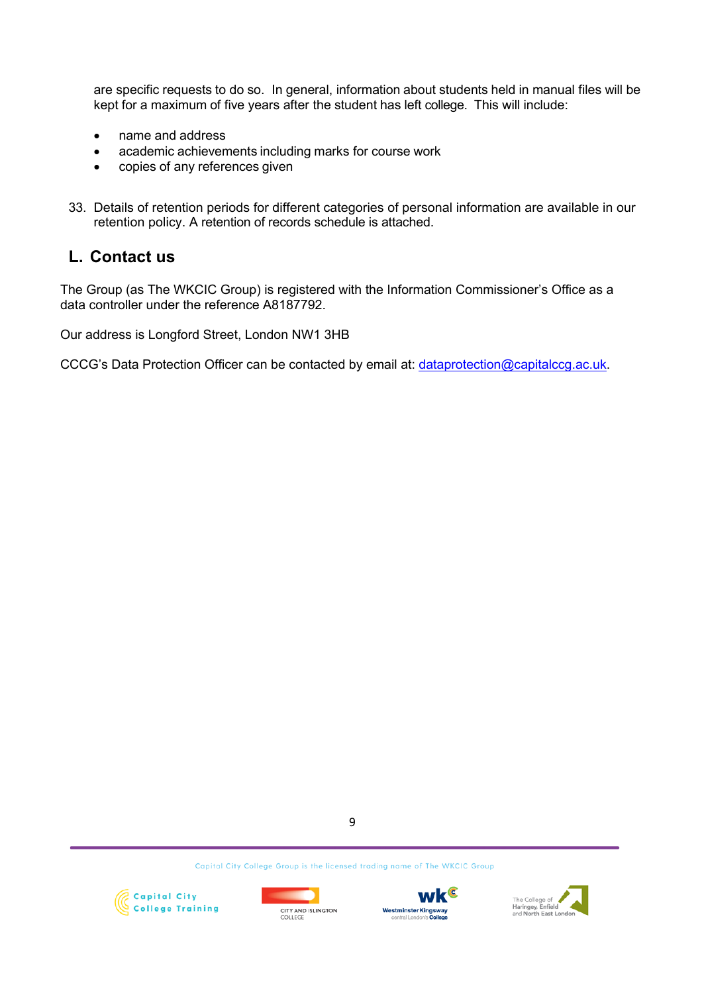are specific requests to do so. In general, information about students held in manual files will be kept for a maximum of five years after the student has left college. This will include:

- name and address
- academic achievements including marks for course work
- copies of any references given
- 33. Details of retention periods for different categories of personal information are available in our retention policy. A retention of records schedule is attached.

# **L. Contact us**

The Group (as The WKCIC Group) is registered with the Information Commissioner's Office as a data controller under the reference A8187792.

Our address is Longford Street, London NW1 3HB

CCCG's Data Protection Officer can be contacted by email at: dataprotection@capitalccg.ac.uk.

9







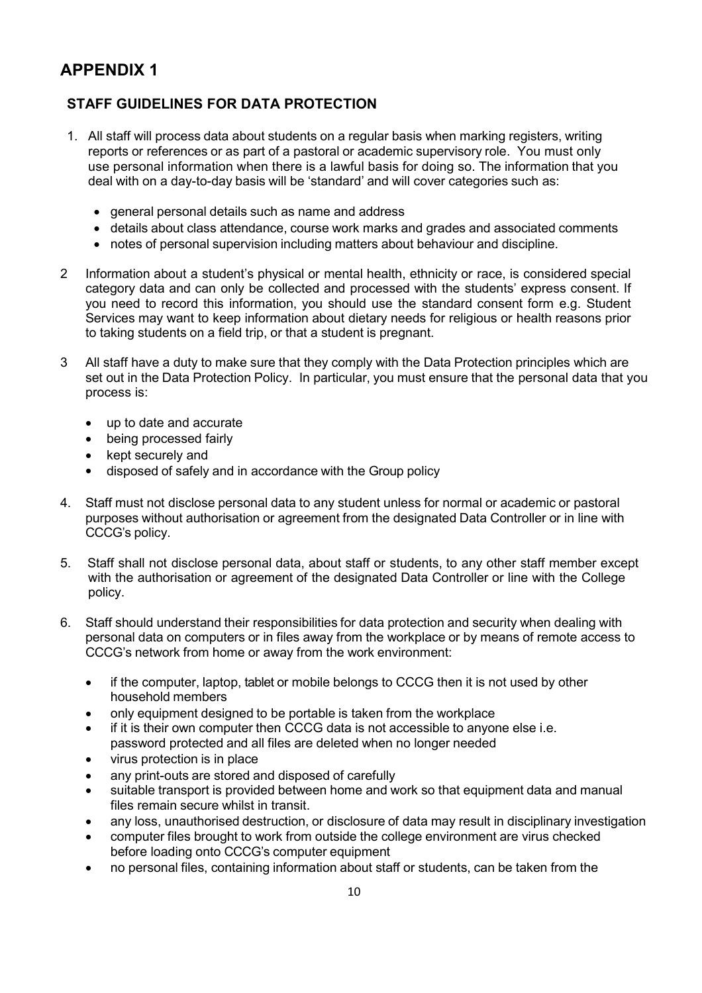# **APPENDIX 1**

## **STAFF GUIDELINES FOR DATA PROTECTION**

- 1. All staff will process data about students on a regular basis when marking registers, writing reports or references or as part of a pastoral or academic supervisory role. You must only use personal information when there is a lawful basis for doing so. The information that you deal with on a day-to-day basis will be 'standard' and will cover categories such as:
	- general personal details such as name and address
	- details about class attendance, course work marks and grades and associated comments
	- notes of personal supervision including matters about behaviour and discipline.
- 2 Information about a student's physical or mental health, ethnicity or race, is considered special category data and can only be collected and processed with the students' express consent. If you need to record this information, you should use the standard consent form e.g. Student Services may want to keep information about dietary needs for religious or health reasons prior to taking students on a field trip, or that a student is pregnant.
- 3 All staff have a duty to make sure that they comply with the Data Protection principles which are set out in the Data Protection Policy. In particular, you must ensure that the personal data that you process is:
	- up to date and accurate
	- being processed fairly
	- kept securely and
	- disposed of safely and in accordance with the Group policy
- 4. Staff must not disclose personal data to any student unless for normal or academic or pastoral purposes without authorisation or agreement from the designated Data Controller or in line with CCCG's policy.
- 5. Staff shall not disclose personal data, about staff or students, to any other staff member except with the authorisation or agreement of the designated Data Controller or line with the College policy.
- 6. Staff should understand their responsibilities for data protection and security when dealing with personal data on computers or in files away from the workplace or by means of remote access to CCCG's network from home or away from the work environment:
	- if the computer, laptop, tablet or mobile belongs to CCCG then it is not used by other household members
	- only equipment designed to be portable is taken from the workplace
	- if it is their own computer then CCCG data is not accessible to anyone else i.e. password protected and all files are deleted when no longer needed
	- virus protection is in place
	- any print-outs are stored and disposed of carefully
	- suitable transport is provided between home and work so that equipment data and manual files remain secure whilst in transit.
	- any loss, unauthorised destruction, or disclosure of data may result in disciplinary investigation
	- computer files brought to work from outside the college environment are virus checked before loading onto CCCG's computer equipment
	- no personal files, containing information about staff or students, can be taken from the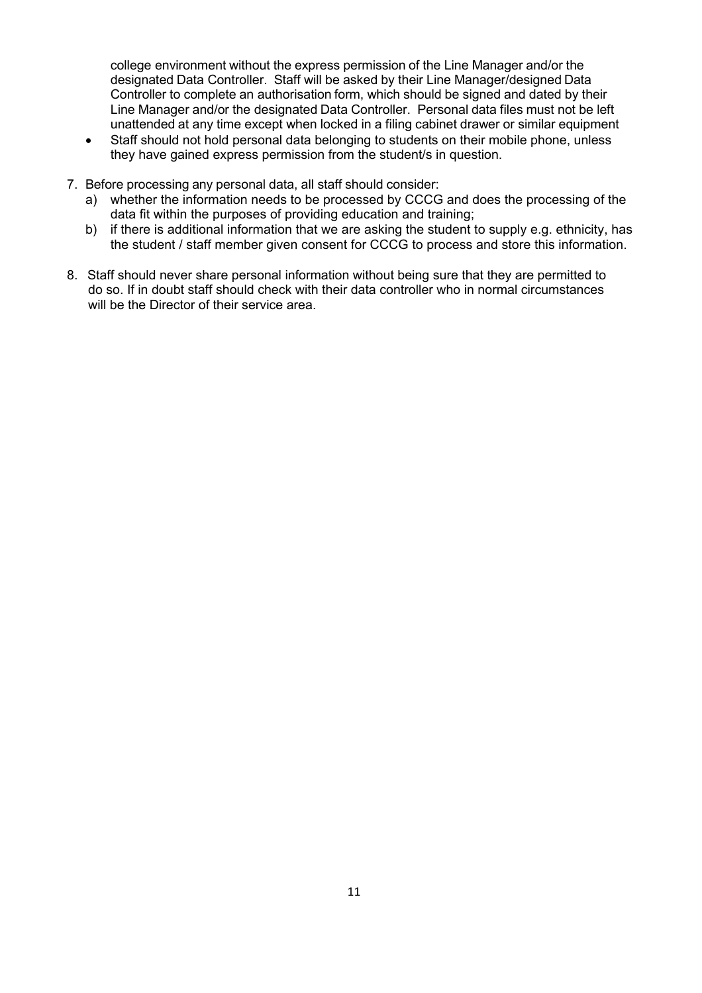college environment without the express permission of the Line Manager and/or the designated Data Controller. Staff will be asked by their Line Manager/designed Data Controller to complete an authorisation form, which should be signed and dated by their Line Manager and/or the designated Data Controller. Personal data files must not be left unattended at any time except when locked in a filing cabinet drawer or similar equipment

- Staff should not hold personal data belonging to students on their mobile phone, unless they have gained express permission from the student/s in question.
- 7. Before processing any personal data, all staff should consider:
	- a) whether the information needs to be processed by CCCG and does the processing of the data fit within the purposes of providing education and training;
	- b) if there is additional information that we are asking the student to supply e.g. ethnicity, has the student / staff member given consent for CCCG to process and store this information.
- 8. Staff should never share personal information without being sure that they are permitted to do so. If in doubt staff should check with their data controller who in normal circumstances will be the Director of their service area.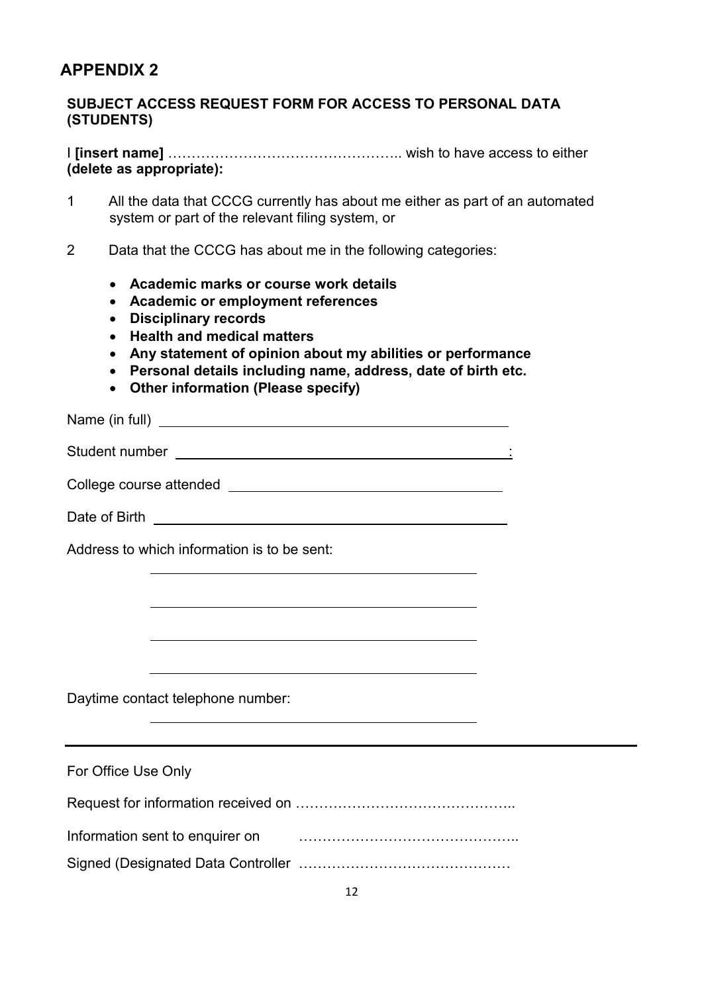# **APPENDIX 2**

## **SUBJECT ACCESS REQUEST FORM FOR ACCESS TO PERSONAL DATA (STUDENTS)**

I **[insert name]** ………………………………………….. wish to have access to either **(delete as appropriate):**

- 1 All the data that CCCG currently has about me either as part of an automated system or part of the relevant filing system, or
- 2 Data that the CCCG has about me in the following categories:
	- **Academic marks or course work details**
	- **Academic or employment references**
	- **Disciplinary records**
	- **Health and medical matters**
	- **Any statement of opinion about my abilities or performance**
	- **Personal details including name, address, date of birth etc.**
	- **Other information (Please specify)**

Name (in full)

Student number :

College course attended

Date of Birth **Exercise 2008** 

Address to which information is to be sent:

Daytime contact telephone number:

| For Office Use Only             |  |
|---------------------------------|--|
|                                 |  |
| Information sent to enquirer on |  |
|                                 |  |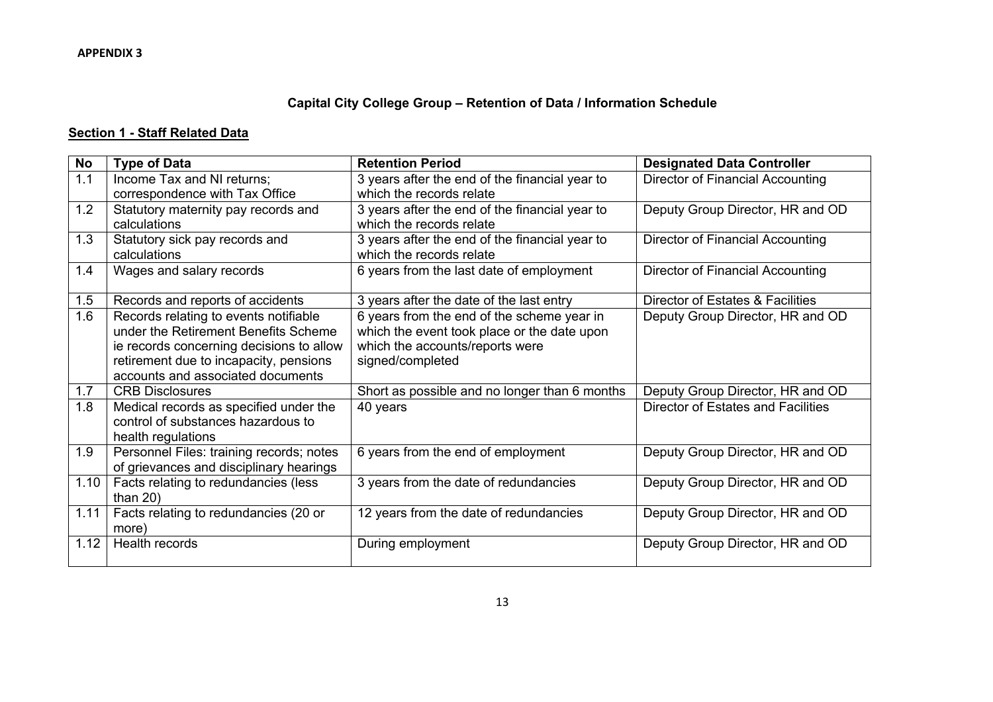## **Capital City College Group – Retention of Data / Information Schedule**

## **Section 1 - Staff Related Data**

| <b>No</b> | <b>Type of Data</b>                                                                                                                                                                                      | <b>Retention Period</b>                                                                                                                          | <b>Designated Data Controller</b>       |
|-----------|----------------------------------------------------------------------------------------------------------------------------------------------------------------------------------------------------------|--------------------------------------------------------------------------------------------------------------------------------------------------|-----------------------------------------|
| 1.1       | Income Tax and NI returns;<br>correspondence with Tax Office                                                                                                                                             | 3 years after the end of the financial year to<br>which the records relate                                                                       | <b>Director of Financial Accounting</b> |
| 1.2       | Statutory maternity pay records and<br>calculations                                                                                                                                                      | 3 years after the end of the financial year to<br>which the records relate                                                                       | Deputy Group Director, HR and OD        |
| 1.3       | Statutory sick pay records and<br>calculations                                                                                                                                                           | 3 years after the end of the financial year to<br>which the records relate                                                                       | Director of Financial Accounting        |
| 1.4       | Wages and salary records                                                                                                                                                                                 | 6 years from the last date of employment                                                                                                         | Director of Financial Accounting        |
| 1.5       | Records and reports of accidents                                                                                                                                                                         | 3 years after the date of the last entry                                                                                                         | Director of Estates & Facilities        |
| 1.6       | Records relating to events notifiable<br>under the Retirement Benefits Scheme<br>ie records concerning decisions to allow<br>retirement due to incapacity, pensions<br>accounts and associated documents | 6 years from the end of the scheme year in<br>which the event took place or the date upon<br>which the accounts/reports were<br>signed/completed | Deputy Group Director, HR and OD        |
| 1.7       | <b>CRB Disclosures</b>                                                                                                                                                                                   | Short as possible and no longer than 6 months                                                                                                    | Deputy Group Director, HR and OD        |
| 1.8       | Medical records as specified under the<br>control of substances hazardous to<br>health regulations                                                                                                       | 40 years                                                                                                                                         | Director of Estates and Facilities      |
| 1.9       | Personnel Files: training records; notes<br>of grievances and disciplinary hearings                                                                                                                      | 6 years from the end of employment                                                                                                               | Deputy Group Director, HR and OD        |
| 1.10      | Facts relating to redundancies (less<br>than $20$ )                                                                                                                                                      | 3 years from the date of redundancies                                                                                                            | Deputy Group Director, HR and OD        |
| 1.11      | Facts relating to redundancies (20 or<br>more)                                                                                                                                                           | 12 years from the date of redundancies                                                                                                           | Deputy Group Director, HR and OD        |
| 1.12      | Health records                                                                                                                                                                                           | During employment                                                                                                                                | Deputy Group Director, HR and OD        |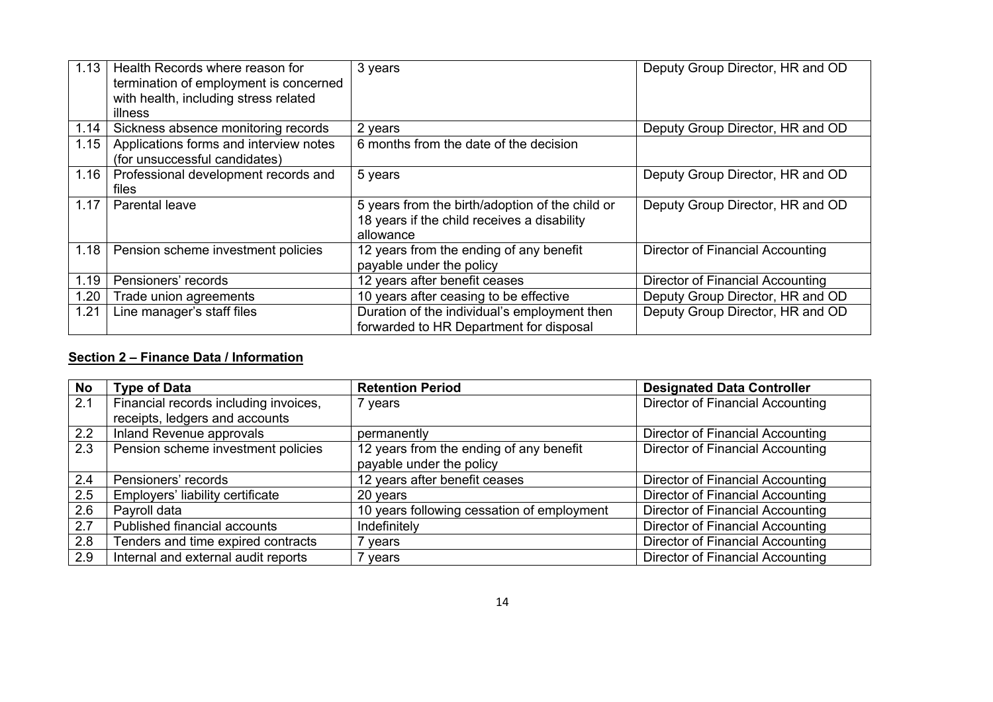| 1.13 | Health Records where reason for<br>termination of employment is concerned<br>with health, including stress related<br>illness | 3 years                                                                                                     | Deputy Group Director, HR and OD |
|------|-------------------------------------------------------------------------------------------------------------------------------|-------------------------------------------------------------------------------------------------------------|----------------------------------|
| 1.14 | Sickness absence monitoring records                                                                                           | 2 years                                                                                                     | Deputy Group Director, HR and OD |
| 1.15 | Applications forms and interview notes<br>(for unsuccessful candidates)                                                       | 6 months from the date of the decision                                                                      |                                  |
| 1.16 | Professional development records and<br>files                                                                                 | 5 years                                                                                                     | Deputy Group Director, HR and OD |
| 1.17 | <b>Parental leave</b>                                                                                                         | 5 years from the birth/adoption of the child or<br>18 years if the child receives a disability<br>allowance | Deputy Group Director, HR and OD |
| 1.18 | Pension scheme investment policies                                                                                            | 12 years from the ending of any benefit<br>payable under the policy                                         | Director of Financial Accounting |
| 1.19 | Pensioners' records                                                                                                           | 12 years after benefit ceases                                                                               | Director of Financial Accounting |
| 1.20 | Trade union agreements                                                                                                        | 10 years after ceasing to be effective                                                                      | Deputy Group Director, HR and OD |
| 1.21 | Line manager's staff files                                                                                                    | Duration of the individual's employment then<br>forwarded to HR Department for disposal                     | Deputy Group Director, HR and OD |

## **Section 2 – Finance Data / Information**

| <b>No</b> | <b>Type of Data</b>                   | <b>Retention Period</b>                    | <b>Designated Data Controller</b>       |
|-----------|---------------------------------------|--------------------------------------------|-----------------------------------------|
| 2.1       | Financial records including invoices, | 7 years                                    | Director of Financial Accounting        |
|           | receipts, ledgers and accounts        |                                            |                                         |
| 2.2       | Inland Revenue approvals              | permanently                                | Director of Financial Accounting        |
| 2.3       | Pension scheme investment policies    | 12 years from the ending of any benefit    | Director of Financial Accounting        |
|           |                                       | payable under the policy                   |                                         |
| 2.4       | Pensioners' records                   | 12 years after benefit ceases              | Director of Financial Accounting        |
| 2.5       | Employers' liability certificate      | 20 years                                   | Director of Financial Accounting        |
| 2.6       | Payroll data                          | 10 years following cessation of employment | Director of Financial Accounting        |
| 2.7       | Published financial accounts          | Indefinitely                               | <b>Director of Financial Accounting</b> |
| 2.8       | Tenders and time expired contracts    | 7 years                                    | Director of Financial Accounting        |
| 2.9       | Internal and external audit reports   | 7 years                                    | Director of Financial Accounting        |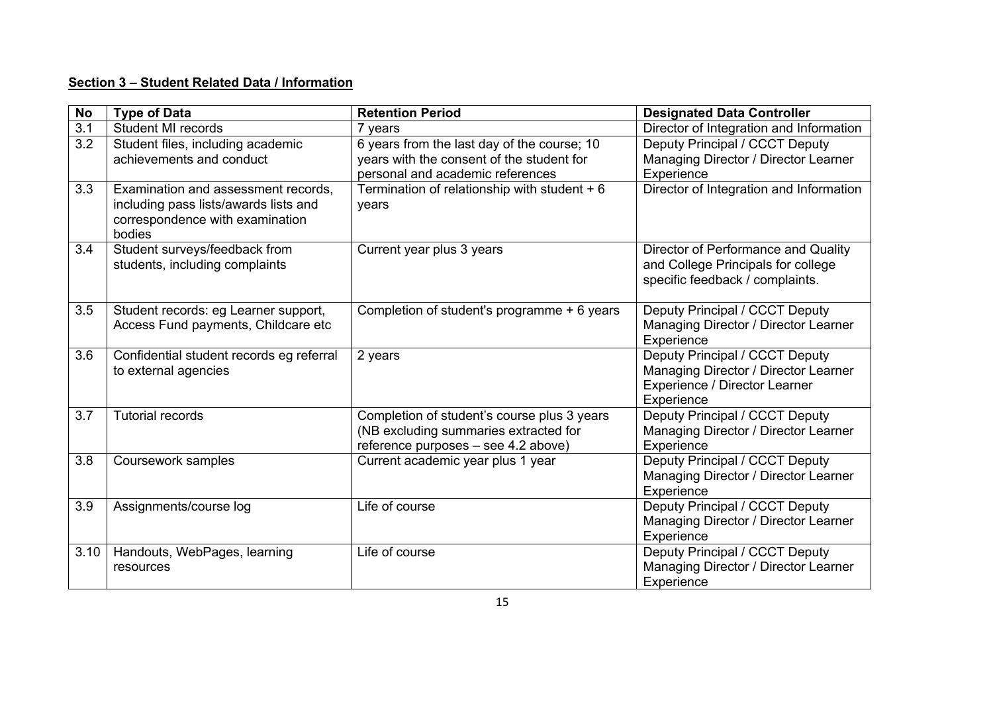## **Section 3 – Student Related Data / Information**

| <b>No</b>        | <b>Type of Data</b>                                                                                                       | <b>Retention Period</b>                                                                                                      | <b>Designated Data Controller</b>                                                                                     |
|------------------|---------------------------------------------------------------------------------------------------------------------------|------------------------------------------------------------------------------------------------------------------------------|-----------------------------------------------------------------------------------------------------------------------|
| $\overline{3.1}$ | <b>Student MI records</b>                                                                                                 | 7 years                                                                                                                      | Director of Integration and Information                                                                               |
| 3.2              | Student files, including academic<br>achievements and conduct                                                             | 6 years from the last day of the course; 10<br>years with the consent of the student for<br>personal and academic references | Deputy Principal / CCCT Deputy<br>Managing Director / Director Learner<br>Experience                                  |
| 3.3              | Examination and assessment records,<br>including pass lists/awards lists and<br>correspondence with examination<br>bodies | Termination of relationship with student + 6<br>years                                                                        | Director of Integration and Information                                                                               |
| 3.4              | Student surveys/feedback from<br>students, including complaints                                                           | Current year plus 3 years                                                                                                    | Director of Performance and Quality<br>and College Principals for college<br>specific feedback / complaints.          |
| 3.5              | Student records: eg Learner support,<br>Access Fund payments, Childcare etc                                               | Completion of student's programme + 6 years                                                                                  | Deputy Principal / CCCT Deputy<br>Managing Director / Director Learner<br>Experience                                  |
| 3.6              | Confidential student records eg referral<br>to external agencies                                                          | 2 years                                                                                                                      | Deputy Principal / CCCT Deputy<br>Managing Director / Director Learner<br>Experience / Director Learner<br>Experience |
| 3.7              | <b>Tutorial records</b>                                                                                                   | Completion of student's course plus 3 years<br>(NB excluding summaries extracted for<br>reference purposes - see 4.2 above)  | Deputy Principal / CCCT Deputy<br>Managing Director / Director Learner<br>Experience                                  |
| $\overline{3.8}$ | Coursework samples                                                                                                        | Current academic year plus 1 year                                                                                            | Deputy Principal / CCCT Deputy<br>Managing Director / Director Learner<br>Experience                                  |
| 3.9              | Assignments/course log                                                                                                    | Life of course                                                                                                               | Deputy Principal / CCCT Deputy<br>Managing Director / Director Learner<br>Experience                                  |
| 3.10             | Handouts, WebPages, learning<br>resources                                                                                 | Life of course                                                                                                               | Deputy Principal / CCCT Deputy<br>Managing Director / Director Learner<br>Experience                                  |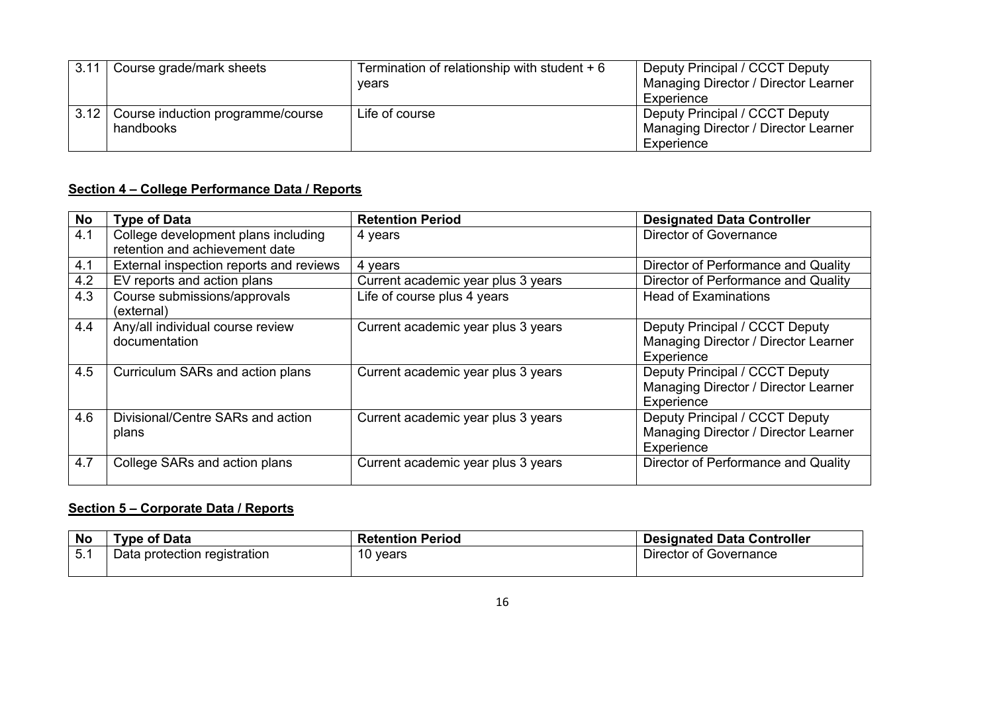| 3.11 | Course grade/mark sheets                       | Termination of relationship with student $+6$<br>vears | Deputy Principal / CCCT Deputy<br>Managing Director / Director Learner<br>Experience |
|------|------------------------------------------------|--------------------------------------------------------|--------------------------------------------------------------------------------------|
| 3.12 | Course induction programme/course<br>handbooks | Life of course                                         | Deputy Principal / CCCT Deputy<br>Managing Director / Director Learner<br>Experience |

## **Section 4 – College Performance Data / Reports**

| No  | <b>Type of Data</b>                                                   | <b>Retention Period</b>            | <b>Designated Data Controller</b>                                                    |
|-----|-----------------------------------------------------------------------|------------------------------------|--------------------------------------------------------------------------------------|
| 4.1 | College development plans including<br>retention and achievement date | 4 years                            | Director of Governance                                                               |
| 4.1 | External inspection reports and reviews                               | 4 years                            | Director of Performance and Quality                                                  |
| 4.2 | EV reports and action plans                                           | Current academic year plus 3 years | Director of Performance and Quality                                                  |
| 4.3 | Course submissions/approvals<br>(external)                            | Life of course plus 4 years        | <b>Head of Examinations</b>                                                          |
| 4.4 | Any/all individual course review<br>documentation                     | Current academic year plus 3 years | Deputy Principal / CCCT Deputy<br>Managing Director / Director Learner<br>Experience |
| 4.5 | Curriculum SARs and action plans                                      | Current academic year plus 3 years | Deputy Principal / CCCT Deputy<br>Managing Director / Director Learner<br>Experience |
| 4.6 | Divisional/Centre SARs and action<br>plans                            | Current academic year plus 3 years | Deputy Principal / CCCT Deputy<br>Managing Director / Director Learner<br>Experience |
| 4.7 | College SARs and action plans                                         | Current academic year plus 3 years | Director of Performance and Quality                                                  |

## **Section 5 – Corporate Data / Reports**

| <b>No</b> | <b>Type of Data</b>          | <b>Retention Period</b> | <b>Designated Data Controller</b> |
|-----------|------------------------------|-------------------------|-----------------------------------|
| 5.1       | Data protection registration | 10 vears                | Director of Governance            |
|           |                              |                         |                                   |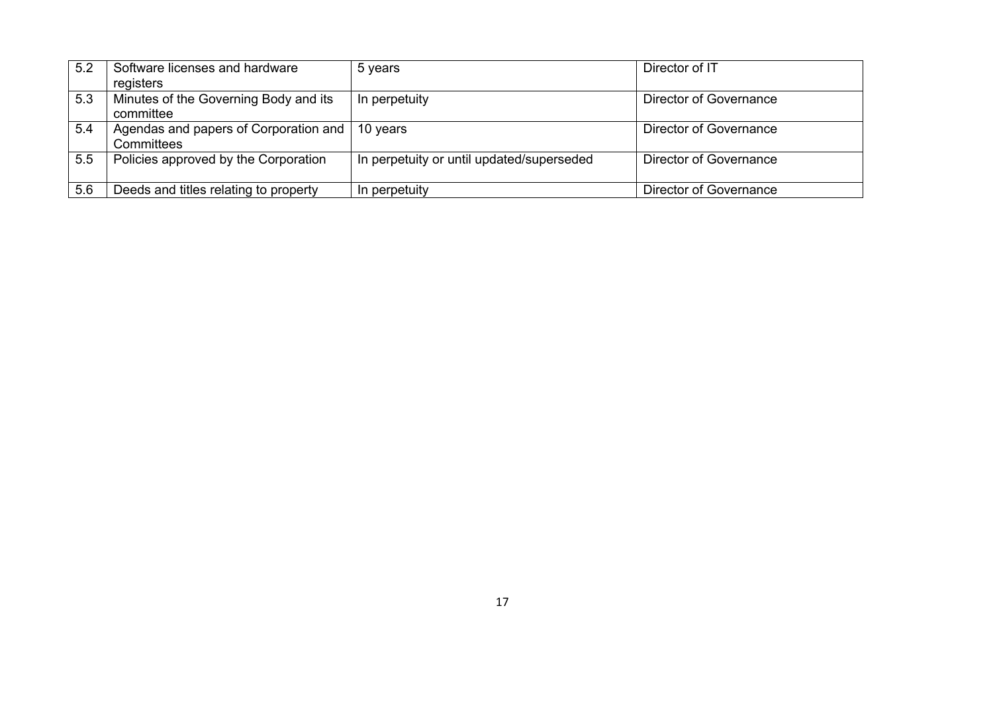| 5.2 | Software licenses and hardware                                 | 5 years                                   | Director of IT         |
|-----|----------------------------------------------------------------|-------------------------------------------|------------------------|
|     | registers                                                      |                                           |                        |
| 5.3 | Minutes of the Governing Body and its<br>committee             | In perpetuity                             | Director of Governance |
| 5.4 | Agendas and papers of Corporation and   10 years<br>Committees |                                           | Director of Governance |
| 5.5 | Policies approved by the Corporation                           | In perpetuity or until updated/superseded | Director of Governance |
| 5.6 | Deeds and titles relating to property                          | In perpetuity                             | Director of Governance |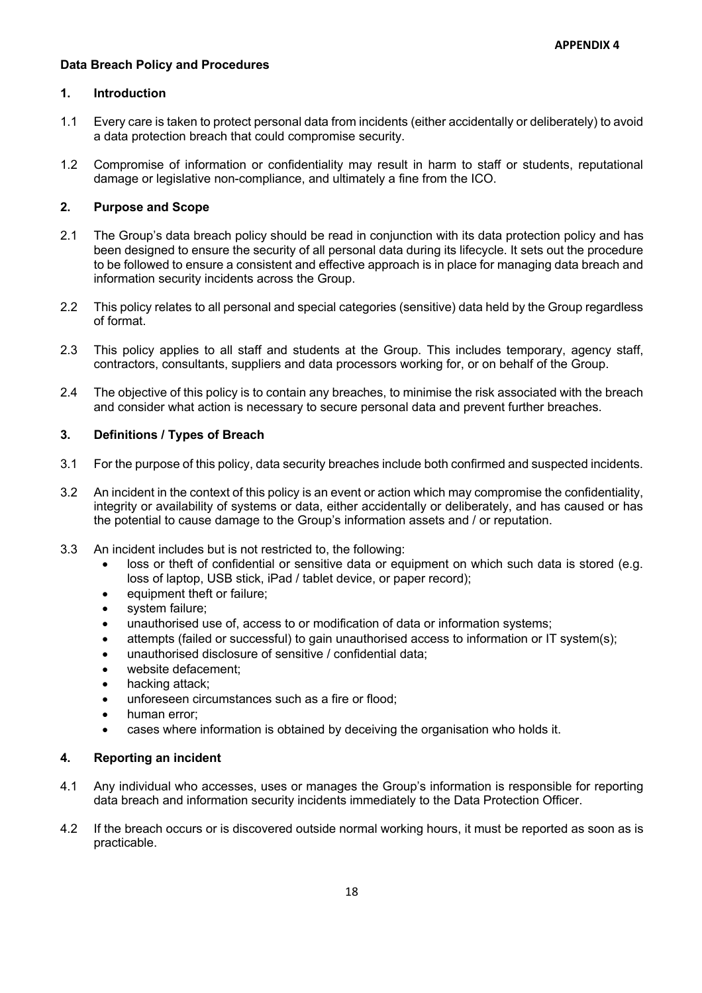#### **Data Breach Policy and Procedures**

## **1. Introduction**

- 1.1 Every care is taken to protect personal data from incidents (either accidentally or deliberately) to avoid a data protection breach that could compromise security.
- 1.2 Compromise of information or confidentiality may result in harm to staff or students, reputational damage or legislative non-compliance, and ultimately a fine from the ICO.

#### **2. Purpose and Scope**

- 2.1 The Group's data breach policy should be read in conjunction with its data protection policy and has been designed to ensure the security of all personal data during its lifecycle. It sets out the procedure to be followed to ensure a consistent and effective approach is in place for managing data breach and information security incidents across the Group.
- 2.2 This policy relates to all personal and special categories (sensitive) data held by the Group regardless of format.
- 2.3 This policy applies to all staff and students at the Group. This includes temporary, agency staff, contractors, consultants, suppliers and data processors working for, or on behalf of the Group.
- 2.4 The objective of this policy is to contain any breaches, to minimise the risk associated with the breach and consider what action is necessary to secure personal data and prevent further breaches.

#### **3. Definitions / Types of Breach**

- 3.1 For the purpose of this policy, data security breaches include both confirmed and suspected incidents.
- 3.2 An incident in the context of this policy is an event or action which may compromise the confidentiality, integrity or availability of systems or data, either accidentally or deliberately, and has caused or has the potential to cause damage to the Group's information assets and / or reputation.
- 3.3 An incident includes but is not restricted to, the following:
	- loss or theft of confidential or sensitive data or equipment on which such data is stored (e.g. loss of laptop, USB stick, iPad / tablet device, or paper record);
	- equipment theft or failure:
	- system failure;
	- unauthorised use of, access to or modification of data or information systems;
	- attempts (failed or successful) to gain unauthorised access to information or IT system(s);
	- unauthorised disclosure of sensitive / confidential data;
	- website defacement:
	- hacking attack:
	- unforeseen circumstances such as a fire or flood;
	- human error;
	- cases where information is obtained by deceiving the organisation who holds it.

#### **4. Reporting an incident**

- 4.1 Any individual who accesses, uses or manages the Group's information is responsible for reporting data breach and information security incidents immediately to the Data Protection Officer.
- 4.2 If the breach occurs or is discovered outside normal working hours, it must be reported as soon as is practicable.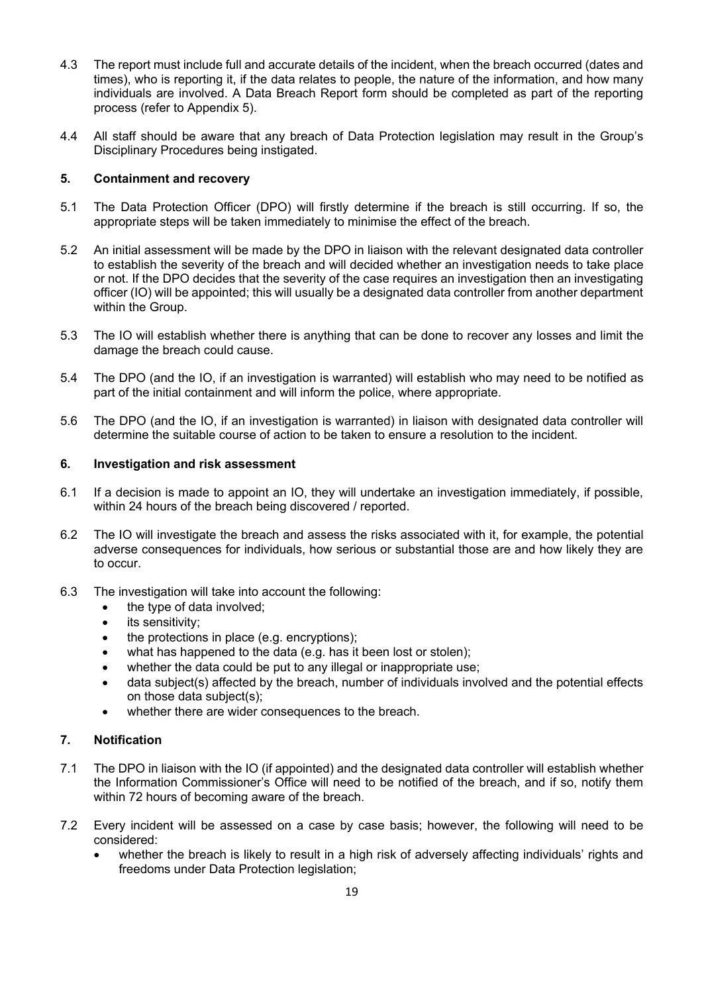- 4.3 The report must include full and accurate details of the incident, when the breach occurred (dates and times), who is reporting it, if the data relates to people, the nature of the information, and how many individuals are involved. A Data Breach Report form should be completed as part of the reporting process (refer to Appendix 5).
- 4.4 All staff should be aware that any breach of Data Protection legislation may result in the Group's Disciplinary Procedures being instigated.

#### **5. Containment and recovery**

- 5.1 The Data Protection Officer (DPO) will firstly determine if the breach is still occurring. If so, the appropriate steps will be taken immediately to minimise the effect of the breach.
- 5.2 An initial assessment will be made by the DPO in liaison with the relevant designated data controller to establish the severity of the breach and will decided whether an investigation needs to take place or not. If the DPO decides that the severity of the case requires an investigation then an investigating officer (IO) will be appointed; this will usually be a designated data controller from another department within the Group.
- 5.3 The IO will establish whether there is anything that can be done to recover any losses and limit the damage the breach could cause.
- 5.4 The DPO (and the IO, if an investigation is warranted) will establish who may need to be notified as part of the initial containment and will inform the police, where appropriate.
- 5.6 The DPO (and the IO, if an investigation is warranted) in liaison with designated data controller will determine the suitable course of action to be taken to ensure a resolution to the incident.

#### **6. Investigation and risk assessment**

- 6.1 If a decision is made to appoint an IO, they will undertake an investigation immediately, if possible, within 24 hours of the breach being discovered / reported.
- 6.2 The IO will investigate the breach and assess the risks associated with it, for example, the potential adverse consequences for individuals, how serious or substantial those are and how likely they are to occur.
- 6.3 The investigation will take into account the following:
	- the type of data involved;
	- its sensitivity;
	- the protections in place (e.g. encryptions);
	- what has happened to the data (e.g. has it been lost or stolen):
	- whether the data could be put to any illegal or inappropriate use;
	- data subject(s) affected by the breach, number of individuals involved and the potential effects on those data subject(s);
	- whether there are wider consequences to the breach.

## **7. Notification**

- 7.1 The DPO in liaison with the IO (if appointed) and the designated data controller will establish whether the Information Commissioner's Office will need to be notified of the breach, and if so, notify them within 72 hours of becoming aware of the breach.
- 7.2 Every incident will be assessed on a case by case basis; however, the following will need to be considered:
	- whether the breach is likely to result in a high risk of adversely affecting individuals' rights and freedoms under Data Protection legislation;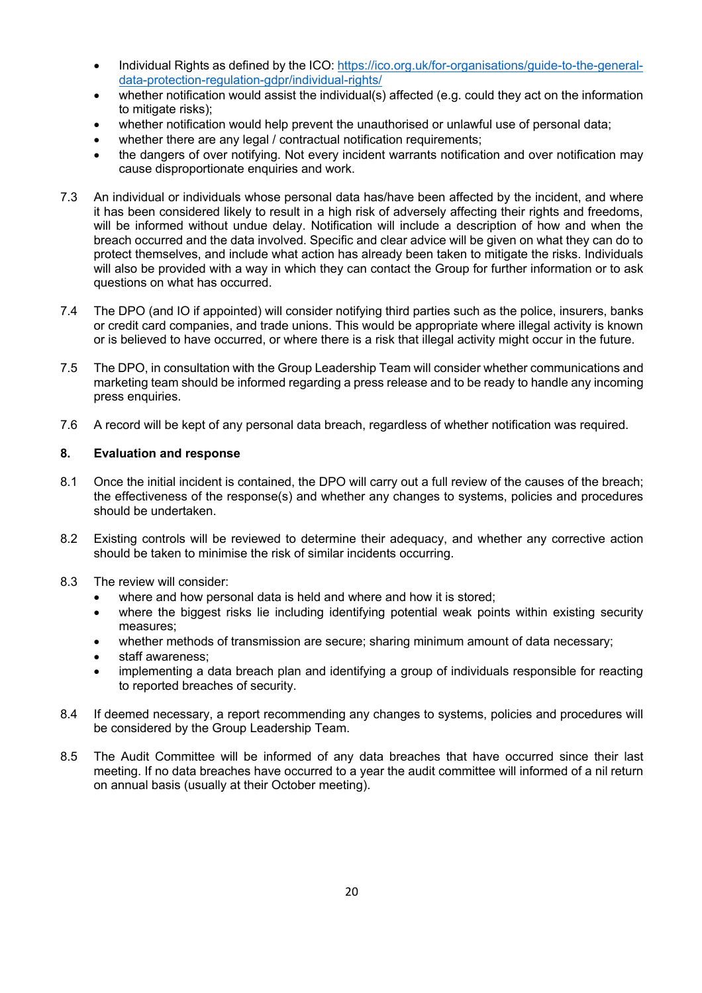- Individual Rights as defined by the ICO: https://ico.org.uk/for-organisations/guide-to-the-generaldata-protection-regulation-gdpr/individual-rights/
- whether notification would assist the individual(s) affected (e.g. could they act on the information to mitigate risks);
- whether notification would help prevent the unauthorised or unlawful use of personal data;
- whether there are any legal / contractual notification requirements;
- the dangers of over notifying. Not every incident warrants notification and over notification may cause disproportionate enquiries and work.
- 7.3 An individual or individuals whose personal data has/have been affected by the incident, and where it has been considered likely to result in a high risk of adversely affecting their rights and freedoms, will be informed without undue delay. Notification will include a description of how and when the breach occurred and the data involved. Specific and clear advice will be given on what they can do to protect themselves, and include what action has already been taken to mitigate the risks. Individuals will also be provided with a way in which they can contact the Group for further information or to ask questions on what has occurred.
- 7.4 The DPO (and IO if appointed) will consider notifying third parties such as the police, insurers, banks or credit card companies, and trade unions. This would be appropriate where illegal activity is known or is believed to have occurred, or where there is a risk that illegal activity might occur in the future.
- 7.5 The DPO, in consultation with the Group Leadership Team will consider whether communications and marketing team should be informed regarding a press release and to be ready to handle any incoming press enquiries.
- 7.6 A record will be kept of any personal data breach, regardless of whether notification was required.

#### **8. Evaluation and response**

- 8.1 Once the initial incident is contained, the DPO will carry out a full review of the causes of the breach; the effectiveness of the response(s) and whether any changes to systems, policies and procedures should be undertaken.
- 8.2 Existing controls will be reviewed to determine their adequacy, and whether any corrective action should be taken to minimise the risk of similar incidents occurring.
- 8.3 The review will consider:
	- where and how personal data is held and where and how it is stored;
	- where the biggest risks lie including identifying potential weak points within existing security measures;
	- whether methods of transmission are secure; sharing minimum amount of data necessary;
	- staff awareness:
	- implementing a data breach plan and identifying a group of individuals responsible for reacting to reported breaches of security.
- 8.4 If deemed necessary, a report recommending any changes to systems, policies and procedures will be considered by the Group Leadership Team.
- 8.5 The Audit Committee will be informed of any data breaches that have occurred since their last meeting. If no data breaches have occurred to a year the audit committee will informed of a nil return on annual basis (usually at their October meeting).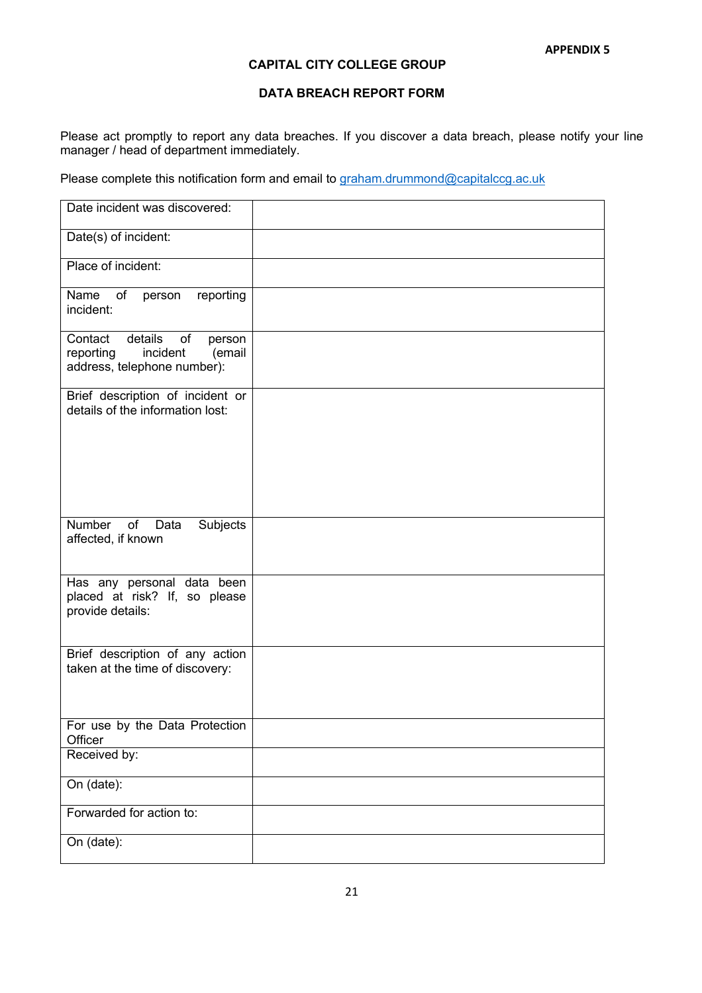## **CAPITAL CITY COLLEGE GROUP**

#### **DATA BREACH REPORT FORM**

Please act promptly to report any data breaches. If you discover a data breach, please notify your line manager / head of department immediately.

Please complete this notification form and email to graham.drummond@capitalccg.ac.uk

| Date incident was discovered:                                                                     |  |
|---------------------------------------------------------------------------------------------------|--|
| Date(s) of incident:                                                                              |  |
| Place of incident:                                                                                |  |
| Name<br>reporting<br>of<br>person<br>incident:                                                    |  |
| details of<br>Contact<br>person<br>incident<br>(email<br>reporting<br>address, telephone number): |  |
| Brief description of incident or<br>details of the information lost:                              |  |
| Number<br>of<br>Subjects<br>Data                                                                  |  |
| affected, if known                                                                                |  |
| Has any personal data been<br>placed at risk? If, so please<br>provide details:                   |  |
| Brief description of any action<br>taken at the time of discovery:                                |  |
| For use by the Data Protection<br>Officer                                                         |  |
| Received by:                                                                                      |  |
| On (date):                                                                                        |  |
| Forwarded for action to:                                                                          |  |
| On (date):                                                                                        |  |